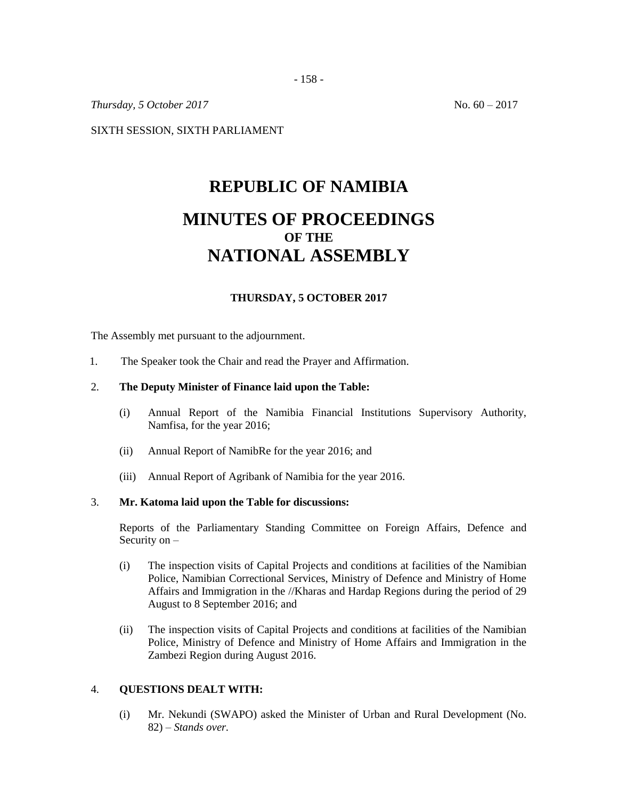- 158 -

*Thursday, 5 October* 2017 **No. 60 – 2017** 

SIXTH SESSION, SIXTH PARLIAMENT

# **REPUBLIC OF NAMIBIA MINUTES OF PROCEEDINGS OF THE NATIONAL ASSEMBLY**

# **THURSDAY, 5 OCTOBER 2017**

The Assembly met pursuant to the adjournment.

1. The Speaker took the Chair and read the Prayer and Affirmation.

#### 2. **The Deputy Minister of Finance laid upon the Table:**

- (i) Annual Report of the Namibia Financial Institutions Supervisory Authority, Namfisa, for the year 2016;
- (ii) Annual Report of NamibRe for the year 2016; and
- (iii) Annual Report of Agribank of Namibia for the year 2016.

#### 3. **Mr. Katoma laid upon the Table for discussions:**

Reports of the Parliamentary Standing Committee on Foreign Affairs, Defence and Security on –

- (i) The inspection visits of Capital Projects and conditions at facilities of the Namibian Police, Namibian Correctional Services, Ministry of Defence and Ministry of Home Affairs and Immigration in the //Kharas and Hardap Regions during the period of 29 August to 8 September 2016; and
- (ii) The inspection visits of Capital Projects and conditions at facilities of the Namibian Police, Ministry of Defence and Ministry of Home Affairs and Immigration in the Zambezi Region during August 2016.

#### 4. **QUESTIONS DEALT WITH:**

(i) Mr. Nekundi (SWAPO) asked the Minister of Urban and Rural Development (No. 82) – *Stands over.*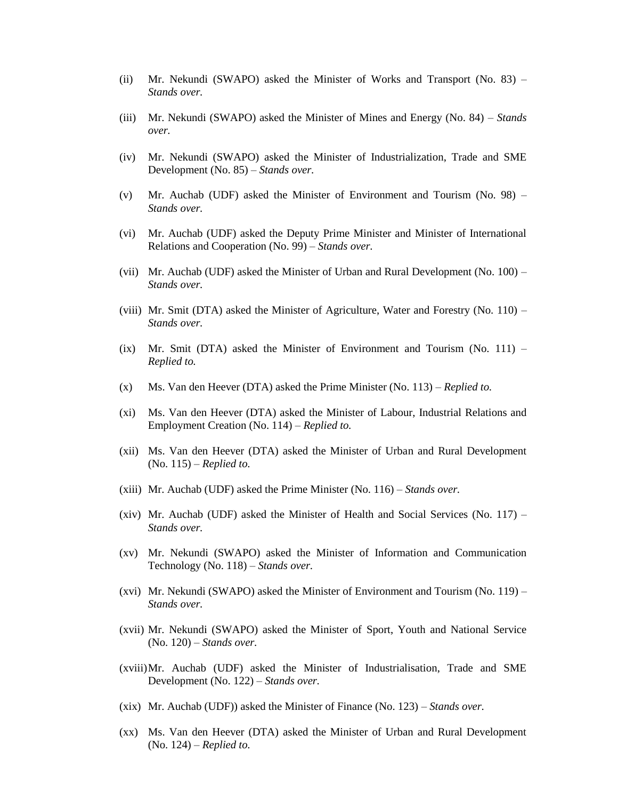- (ii) Mr. Nekundi (SWAPO) asked the Minister of Works and Transport (No.  $83$ ) *Stands over.*
- (iii) Mr. Nekundi (SWAPO) asked the Minister of Mines and Energy (No. 84) *Stands over.*
- (iv) Mr. Nekundi (SWAPO) asked the Minister of Industrialization, Trade and SME Development (No. 85) – *Stands over.*
- (v) Mr. Auchab (UDF) asked the Minister of Environment and Tourism (No. 98) *Stands over.*
- (vi) Mr. Auchab (UDF) asked the Deputy Prime Minister and Minister of International Relations and Cooperation (No. 99) – *Stands over.*
- (vii) Mr. Auchab (UDF) asked the Minister of Urban and Rural Development (No. 100) *Stands over.*
- (viii) Mr. Smit (DTA) asked the Minister of Agriculture, Water and Forestry (No.  $110$ ) *Stands over.*
- (ix) Mr. Smit (DTA) asked the Minister of Environment and Tourism (No.  $111$ ) *Replied to.*
- (x) Ms. Van den Heever (DTA) asked the Prime Minister (No. 113) *Replied to.*
- (xi) Ms. Van den Heever (DTA) asked the Minister of Labour, Industrial Relations and Employment Creation (No. 114) – *Replied to.*
- (xii) Ms. Van den Heever (DTA) asked the Minister of Urban and Rural Development (No. 115) – *Replied to.*
- (xiii) Mr. Auchab (UDF) asked the Prime Minister (No. 116) *Stands over.*
- (xiv) Mr. Auchab (UDF) asked the Minister of Health and Social Services (No.  $117$ ) *Stands over.*
- (xv) Mr. Nekundi (SWAPO) asked the Minister of Information and Communication Technology (No. 118) – *Stands over.*
- (xvi) Mr. Nekundi (SWAPO) asked the Minister of Environment and Tourism (No. 119) *Stands over.*
- (xvii) Mr. Nekundi (SWAPO) asked the Minister of Sport, Youth and National Service (No. 120) – *Stands over.*
- (xviii)Mr. Auchab (UDF) asked the Minister of Industrialisation, Trade and SME Development (No. 122) – *Stands over.*
- (xix) Mr. Auchab (UDF)) asked the Minister of Finance (No. 123) *Stands over.*
- (xx) Ms. Van den Heever (DTA) asked the Minister of Urban and Rural Development (No. 124) – *Replied to.*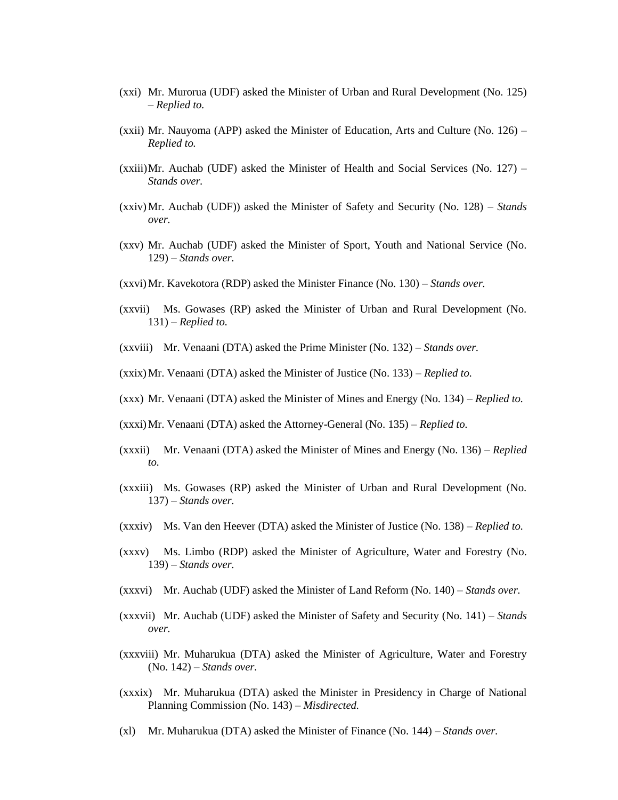- (xxi) Mr. Murorua (UDF) asked the Minister of Urban and Rural Development (No. 125) – *Replied to.*
- (xxii) Mr. Nauyoma (APP) asked the Minister of Education, Arts and Culture (No.  $126$ ) *Replied to.*
- $(xxiii)Mr.$  Auchab (UDF) asked the Minister of Health and Social Services (No. 127) *Stands over.*
- (xxiv)Mr. Auchab (UDF)) asked the Minister of Safety and Security (No. 128) *Stands over.*
- (xxv) Mr. Auchab (UDF) asked the Minister of Sport, Youth and National Service (No. 129) – *Stands over.*
- (xxvi)Mr. Kavekotora (RDP) asked the Minister Finance (No. 130) *Stands over.*
- (xxvii) Ms. Gowases (RP) asked the Minister of Urban and Rural Development (No. 131) – *Replied to.*
- (xxviii) Mr. Venaani (DTA) asked the Prime Minister (No. 132) *Stands over.*
- (xxix)Mr. Venaani (DTA) asked the Minister of Justice (No. 133) *Replied to.*
- (xxx) Mr. Venaani (DTA) asked the Minister of Mines and Energy (No. 134) *Replied to.*
- (xxxi)Mr. Venaani (DTA) asked the Attorney-General (No. 135) *Replied to.*
- (xxxii) Mr. Venaani (DTA) asked the Minister of Mines and Energy (No. 136) *Replied to.*
- (xxxiii) Ms. Gowases (RP) asked the Minister of Urban and Rural Development (No. 137) – *Stands over.*
- (xxxiv) Ms. Van den Heever (DTA) asked the Minister of Justice (No. 138) *Replied to.*
- (xxxv) Ms. Limbo (RDP) asked the Minister of Agriculture, Water and Forestry (No. 139) – *Stands over.*
- (xxxvi) Mr. Auchab (UDF) asked the Minister of Land Reform (No. 140) *Stands over.*
- (xxxvii) Mr. Auchab (UDF) asked the Minister of Safety and Security (No. 141) *Stands over.*
- (xxxviii) Mr. Muharukua (DTA) asked the Minister of Agriculture, Water and Forestry (No. 142) – *Stands over.*
- (xxxix) Mr. Muharukua (DTA) asked the Minister in Presidency in Charge of National Planning Commission (No. 143) – *Misdirected.*
- (xl) Mr. Muharukua (DTA) asked the Minister of Finance (No. 144) *Stands over.*